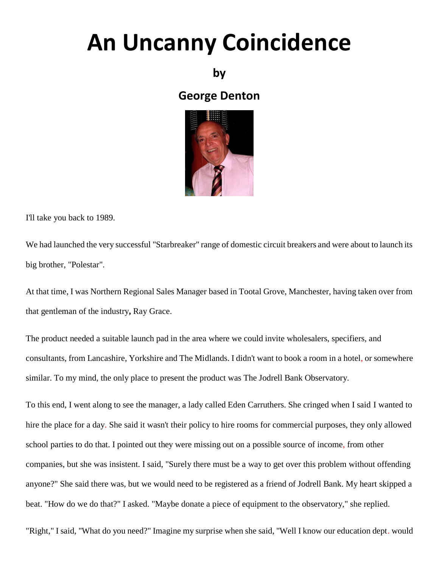## **An Uncanny Coincidence**

## **by**

## **George Denton**



I'll take you back to 1989.

We had launched the very successful "Starbreaker" range of domestic circuit breakers and were about to launch its big brother, "Polestar".

At that time, I was Northern Regional Sales Manager based in Tootal Grove, Manchester, having taken over from that gentleman of the industry**,** Ray Grace.

The product needed a suitable launch pad in the area where we could invite wholesalers, specifiers, and consultants, from Lancashire, Yorkshire and The Midlands. I didn't want to book a room in a hotel, or somewhere similar. To my mind, the only place to present the product was The Jodrell Bank Observatory.

To this end, I went along to see the manager, a lady called Eden Carruthers. She cringed when I said I wanted to hire the place for a day. She said it wasn't their policy to hire rooms for commercial purposes, they only allowed school parties to do that. I pointed out they were missing out on a possible source of income, from other companies, but she was insistent. I said, "Surely there must be a way to get over this problem without offending anyone?" She said there was, but we would need to be registered as a friend of Jodrell Bank. My heart skipped a beat. "How do we do that?" I asked. "Maybe donate a piece of equipment to the observatory," she replied.

"Right," I said, "What do you need?" Imagine my surprise when she said, "Well I know our education dept. would